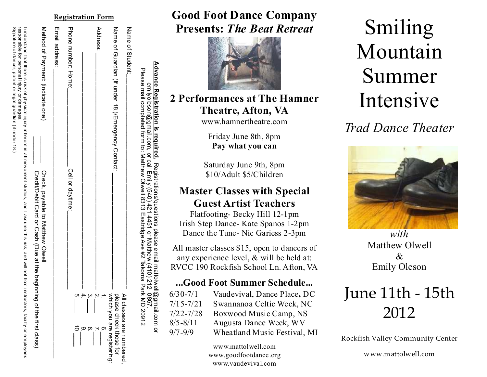|                 | Advance Registration is reguired. Registrations/questions please email mattolwell@gmail.com or<br>Please mail completed form to: Matthew Olwell 8313 Eastridge Ave #2 Takoma Park MD 20912<br>emilyoleson@gmail.com, or call Emily (540) 421-4451 or Matthew (410) 212-                                                                            | <b>L980</b>                                        |
|-----------------|----------------------------------------------------------------------------------------------------------------------------------------------------------------------------------------------------------------------------------------------------------------------------------------------------------------------------------------------------|----------------------------------------------------|
|                 | Name of Student:                                                                                                                                                                                                                                                                                                                                   |                                                    |
|                 | Name of Guardian (If under 18.)/Emergency Contact:                                                                                                                                                                                                                                                                                                 | please check those for<br>All classes are numbered |
| готш            | Address:                                                                                                                                                                                                                                                                                                                                           | which you are registering:                         |
|                 |                                                                                                                                                                                                                                                                                                                                                    |                                                    |
| <u>isuauvii</u> | Prone number: Home:<br>Cell or daytime:                                                                                                                                                                                                                                                                                                            |                                                    |
| IVE)            | Email address:                                                                                                                                                                                                                                                                                                                                     |                                                    |
|                 | Method of Payment: (indicate one)<br>Check, payable to Matthew Olyell<br>Credit/Debit Card or Cash (Due at the beginning of the first class)                                                                                                                                                                                                       |                                                    |
|                 | Signature of dancer, parent or legal guardian (if under 18.)<br>responsible for personal injury or damages<br>$\frac{1}{100}$ and $\frac{1}{100}$ is a second instance is a second interational subsequent strugies, and I assume that figures in the rept tend in interation in interation in the sequent strugies in the represent struggless of |                                                    |

### **Registration Form Good Foot Dance Company Presents:** *The Beat Retreat*



### **2 Performances at The Hamner Theatre, Afton, VA**

www.hamnertheatre.com

Friday June 8th, 8pm **Pay what you can**

Saturday June 9th, 8pm \$10/Adult \$5/Children

### **Master Classes with Special Guest Artist Teachers**

Flatfooting- Becky Hill 12-1pm Irish Step Dance- Kate Spanos 1-2pm Dance the Tune- Nic Gariess 2-3pm

All master classes \$15, open to dancers of any experience level, & will be held at: RVCC 190 Rockfish School Ln. Afton, VA

### **...Good Foot Summer Schedule...**

| $6/30-7/1$    | Vaudevival, Dance Place, DC         |
|---------------|-------------------------------------|
| $7/15 - 7/21$ | Swannanoa Celtic Week, NC           |
| $7/22 - 7/28$ | Boxwood Music Camp, NS              |
| $8/5 - 8/11$  | Augusta Dance Week, WV              |
| $9/7 - 9/9$   | <b>Wheatland Music Festival, MI</b> |
|               |                                     |

www.mattolwell.com www.goodfootdance.org www.vaudevival.com

# Smiling Mountain Summer Intensive

*Trad Dance Theater*



*with*  Matthew Olwell & Emily Oleson

## June 11th - 15th 2012

Rockfish Valley Community Center

www.mattolwell.com